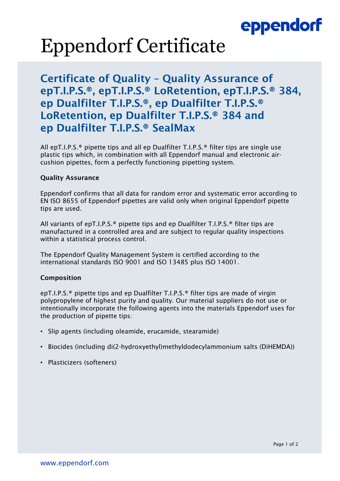## eppendorf

# Eppendorf Certificate

### Certificate of Quality – Quality Assurance of epT.I.P.S.®, epT.I.P.S.® LoRetention, epT.I.P.S.® 384, ep Dualfilter T.I.P.S.®, ep Dualfilter T.I.P.S.® LoRetention, ep Dualfilter T.I.P.S.® 384 and ep Dualfilter T.I.P.S.® SealMax

All epT.I.P.S.® pipette tips and all ep Dualfilter T.I.P.S.® filter tips are single use plastic tips which, in combination with all Eppendorf manual and electronic aircushion pipettes, form a perfectly functioning pipetting system.

#### Quality Assurance

Eppendorf confirms that all data for random error and systematic error according to EN ISO 8655 of Eppendorf pipettes are valid only when original Eppendorf pipette tips are used.

All variants of epT.I.P.S.® pipette tips and ep Dualfilter T.I.P.S.® filter tips are manufactured in a controlled area and are subject to regular quality inspections within a statistical process control.

The Eppendorf Quality Management System is certified according to the international standards ISO 9001 and ISO 13485 plus ISO 14001.

#### Composition

epT.I.P.S.® pipette tips and ep Dualfilter T.I.P.S.® filter tips are made of virgin polypropylene of highest purity and quality. Our material suppliers do not use or intentionally incorporate the following agents into the materials Eppendorf uses for the production of pipette tips:

- Slip agents (including oleamide, erucamide, stearamide)
- Biocides (including di(2-hydroxyethyl)methyldodecylammonium salts (DiHEMDA))
- Plasticizers (softeners)